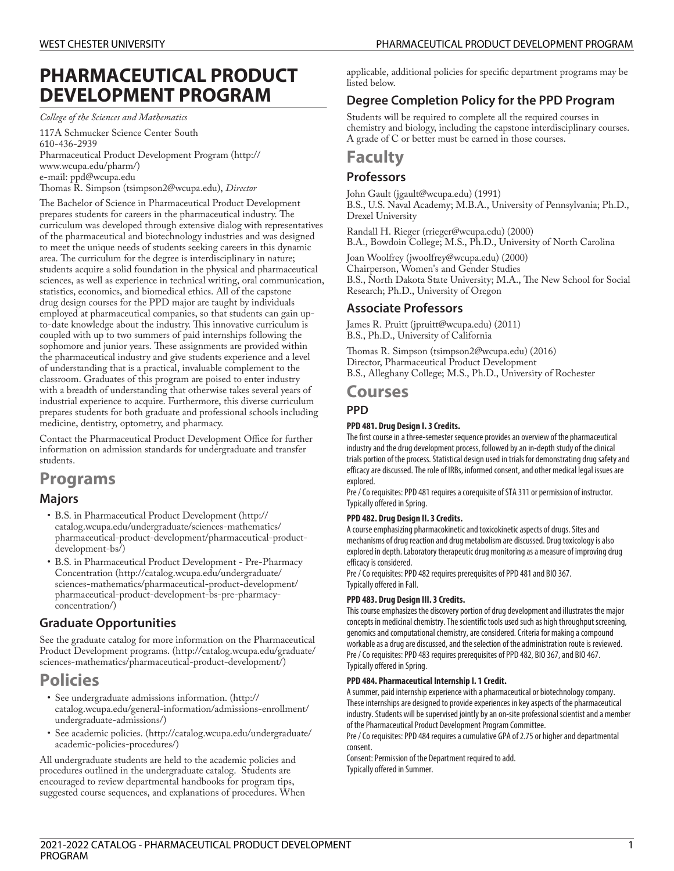# **PHARMACEUTICAL PRODUCT DEVELOPMENT PROGRAM**

*College of the Sciences and Mathematics*

117A Schmucker Science Center South 610-436-2939 [Pharmaceutical](http://www.wcupa.edu/pharm/) Product Development Program ([http://](http://www.wcupa.edu/pharm/) [www.wcupa.edu/pharm/](http://www.wcupa.edu/pharm/)) e-mail: [ppd@wcupa.edu](mailto:ppd@wcupa.edu)

Thomas R. [Simpson](mailto:tsimpson2@wcupa.edu) (<tsimpson2@wcupa.edu>), *Director* 

The Bachelor of Science in Pharmaceutical Product Development prepares students for careers in the pharmaceutical industry. The curriculum was developed through extensive dialog with representatives of the pharmaceutical and biotechnology industries and was designed to meet the unique needs of students seeking careers in this dynamic area. The curriculum for the degree is interdisciplinary in nature; students acquire a solid foundation in the physical and pharmaceutical sciences, as well as experience in technical writing, oral communication, statistics, economics, and biomedical ethics. All of the capstone drug design courses for the PPD major are taught by individuals employed at pharmaceutical companies, so that students can gain upto-date knowledge about the industry. This innovative curriculum is coupled with up to two summers of paid internships following the sophomore and junior years. These assignments are provided within the pharmaceutical industry and give students experience and a level of understanding that is a practical, invaluable complement to the classroom. Graduates of this program are poised to enter industry with a breadth of understanding that otherwise takes several years of industrial experience to acquire. Furthermore, this diverse curriculum prepares students for both graduate and professional schools including medicine, dentistry, optometry, and pharmacy.

Contact the Pharmaceutical Product Development Office for further information on admission standards for undergraduate and transfer students.

### **Programs**

### **Majors**

- B.S. in [Pharmaceutical](http://catalog.wcupa.edu/undergraduate/sciences-mathematics/pharmaceutical-product-development/pharmaceutical-product-development-bs/) Product Development ([http://](http://catalog.wcupa.edu/undergraduate/sciences-mathematics/pharmaceutical-product-development/pharmaceutical-product-development-bs/) [catalog.wcupa.edu/undergraduate/sciences-mathematics/](http://catalog.wcupa.edu/undergraduate/sciences-mathematics/pharmaceutical-product-development/pharmaceutical-product-development-bs/) [pharmaceutical-product-development/pharmaceutical-product](http://catalog.wcupa.edu/undergraduate/sciences-mathematics/pharmaceutical-product-development/pharmaceutical-product-development-bs/)[development-bs/\)](http://catalog.wcupa.edu/undergraduate/sciences-mathematics/pharmaceutical-product-development/pharmaceutical-product-development-bs/)
- B.S. in [Pharmaceutical](http://catalog.wcupa.edu/undergraduate/sciences-mathematics/pharmaceutical-product-development/pharmaceutical-product-development-bs-pre-pharmacy-concentration/) Product Development Pre-Pharmacy [Concentration](http://catalog.wcupa.edu/undergraduate/sciences-mathematics/pharmaceutical-product-development/pharmaceutical-product-development-bs-pre-pharmacy-concentration/) ([http://catalog.wcupa.edu/undergraduate/](http://catalog.wcupa.edu/undergraduate/sciences-mathematics/pharmaceutical-product-development/pharmaceutical-product-development-bs-pre-pharmacy-concentration/) [sciences-mathematics/pharmaceutical-product-development/](http://catalog.wcupa.edu/undergraduate/sciences-mathematics/pharmaceutical-product-development/pharmaceutical-product-development-bs-pre-pharmacy-concentration/) [pharmaceutical-product-development-bs-pre-pharmacy](http://catalog.wcupa.edu/undergraduate/sciences-mathematics/pharmaceutical-product-development/pharmaceutical-product-development-bs-pre-pharmacy-concentration/)[concentration/\)](http://catalog.wcupa.edu/undergraduate/sciences-mathematics/pharmaceutical-product-development/pharmaceutical-product-development-bs-pre-pharmacy-concentration/)

### **Graduate Opportunities**

See the graduate catalog for more information on the [Pharmaceutical](http://catalog.wcupa.edu/graduate/sciences-mathematics/pharmaceutical-product-development/) Product [Development](http://catalog.wcupa.edu/graduate/sciences-mathematics/pharmaceutical-product-development/) programs. ([http://catalog.wcupa.edu/graduate/](http://catalog.wcupa.edu/graduate/sciences-mathematics/pharmaceutical-product-development/) [sciences-mathematics/pharmaceutical-product-development/\)](http://catalog.wcupa.edu/graduate/sciences-mathematics/pharmaceutical-product-development/)

## **Policies**

- See [undergraduate](http://catalog.wcupa.edu/general-information/admissions-enrollment/undergraduate-admissions/) admissions information. ([http://](http://catalog.wcupa.edu/general-information/admissions-enrollment/undergraduate-admissions/) [catalog.wcupa.edu/general-information/admissions-enrollment/](http://catalog.wcupa.edu/general-information/admissions-enrollment/undergraduate-admissions/) [undergraduate-admissions/](http://catalog.wcupa.edu/general-information/admissions-enrollment/undergraduate-admissions/))
- See [academic](http://catalog.wcupa.edu/undergraduate/academic-policies-procedures/) policies. [\(http://catalog.wcupa.edu/undergraduate/](http://catalog.wcupa.edu/undergraduate/academic-policies-procedures/) [academic-policies-procedures/\)](http://catalog.wcupa.edu/undergraduate/academic-policies-procedures/)

All undergraduate students are held to the academic policies and procedures outlined in the undergraduate catalog. Students are encouraged to review departmental handbooks for program tips, suggested course sequences, and explanations of procedures. When applicable, additional policies for specific department programs may be listed below.

### **Degree Completion Policy for the PPD Program**

Students will be required to complete all the required courses in chemistry and biology, including the capstone interdisciplinary courses. A grade of C or better must be earned in those courses.

# **Faculty**

### **Professors**

John [Gault](mailto:jgault@wcupa.edu) ([jgault@wcupa.edu\)](jgault@wcupa.edu) (1991) B.S., U.S. Naval Academy; M.B.A., University of Pennsylvania; Ph.D., Drexel University

[Randall](mailto:rrieger@wcupa.edu) H. Rieger ([rrieger@wcupa.edu\)](rrieger@wcupa.edu) (2000)

B.A., Bowdoin College; M.S., Ph.D., University of North Carolina

Joan [Woolfrey](mailto:jwoolfrey@wcupa.edu) [\(jwoolfrey@wcupa.edu\)](jwoolfrey@wcupa.edu) (2000)

Chairperson, Women's and Gender Studies B.S., North Dakota State University; M.A., The New School for Social Research; Ph.D., University of Oregon

### **Associate Professors**

James R. [Pruitt](mailto:jpruitt@wcupa.edu) ([jpruitt@wcupa.edu\)](jpruitt@wcupa.edu) (2011) B.S., Ph.D., University of California

Thomas R. [Simpson](mailto:tsimpson2@wcupa.edu) (<tsimpson2@wcupa.edu>) (2016) Director, Pharmaceutical Product Development B.S., Alleghany College; M.S., Ph.D., University of Rochester

### **Courses**

### **PPD**

### **PPD 481. Drug Design I. 3 Credits.**

The first course in a three-semester sequence provides an overview of the pharmaceutical industry and the drug development process, followed by an in-depth study of the clinical trials portion of the process. Statistical design used in trials for demonstrating drug safety and efficacy are discussed. The role of IRBs, informed consent, and other medical legal issues are explored.

Pre / Co requisites: PPD 481 requires a corequisite of STA 311 or permission of instructor. Typically offered in Spring.

#### **PPD 482. Drug Design II. 3 Credits.**

A course emphasizing pharmacokinetic and toxicokinetic aspects of drugs. Sites and mechanisms of drug reaction and drug metabolism are discussed. Drug toxicology is also explored in depth. Laboratory therapeutic drug monitoring as a measure of improving drug efficacy is considered.

Pre / Co requisites: PPD 482 requires prerequisites of PPD 481 and BIO 367. Typically offered in Fall.

#### **PPD 483. Drug Design III. 3 Credits.**

This course emphasizes the discovery portion of drug development and illustrates the major concepts in medicinal chemistry. The scientific tools used such as high throughput screening, genomics and computational chemistry, are considered. Criteria for making a compound workable as a drug are discussed, and the selection of the administration route is reviewed. Pre / Co requisites: PPD 483 requires prerequisites of PPD 482, BIO 367, and BIO 467. Typically offered in Spring.

#### **PPD 484. Pharmaceutical Internship I. 1 Credit.**

A summer, paid internship experience with a pharmaceutical or biotechnology company. These internships are designed to provide experiences in key aspects of the pharmaceutical industry. Students will be supervised jointly by an on-site professional scientist and a member of the Pharmaceutical Product Development Program Committee.

Pre / Co requisites: PPD 484 requires a cumulative GPA of 2.75 or higher and departmental consent.

Consent: Permission of the Department required to add. Typically offered in Summer.